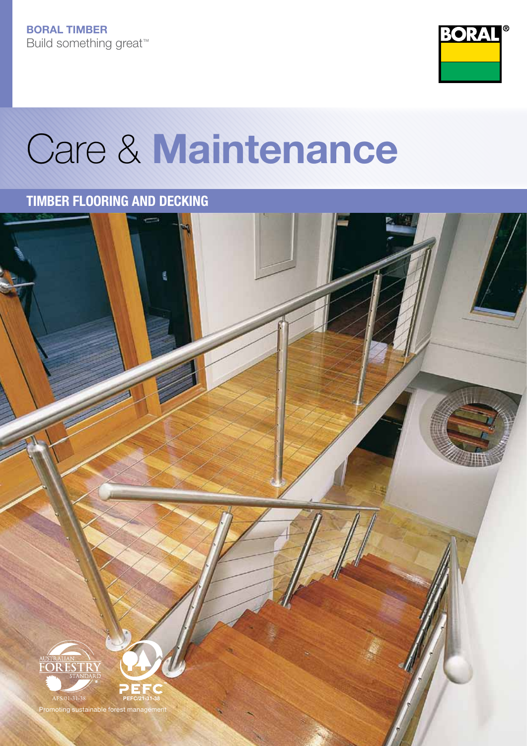

# Care & Maintenance

### TIMBER FLOORING AND DECKING

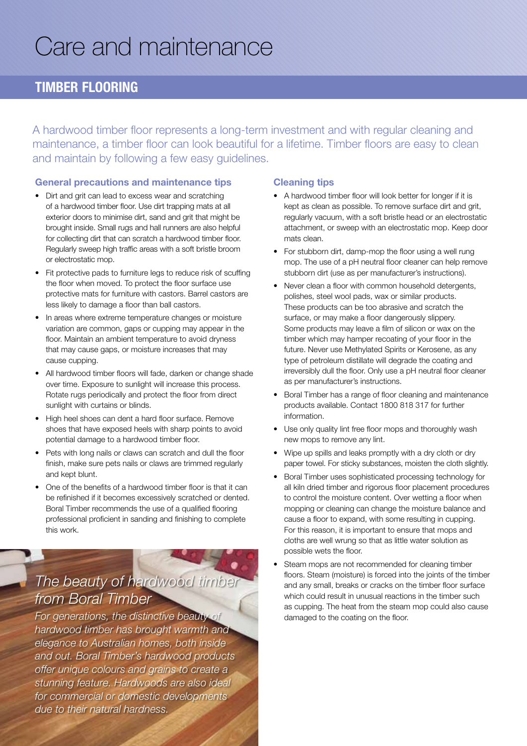# Care and maintenance

#### Timber Flooring

A hardwood timber floor represents a long-term investment and with regular cleaning and maintenance, a timber floor can look beautiful for a lifetime. Timber floors are easy to clean and maintain by following a few easy guidelines.

#### General precautions and maintenance tips

- Dirt and grit can lead to excess wear and scratching of a hardwood timber floor. Use dirt trapping mats at all exterior doors to minimise dirt, sand and grit that might be brought inside. Small rugs and hall runners are also helpful for collecting dirt that can scratch a hardwood timber floor. Regularly sweep high traffic areas with a soft bristle broom or electrostatic mop.
- Fit protective pads to furniture legs to reduce risk of scuffing the floor when moved. To protect the floor surface use protective mats for furniture with castors. Barrel castors are less likely to damage a floor than ball castors.
- In areas where extreme temperature changes or moisture variation are common, gaps or cupping may appear in the floor. Maintain an ambient temperature to avoid dryness that may cause gaps, or moisture increases that may cause cupping.
- All hardwood timber floors will fade, darken or change shade over time. Exposure to sunlight will increase this process. Rotate rugs periodically and protect the floor from direct sunlight with curtains or blinds.
- High heel shoes can dent a hard floor surface. Remove shoes that have exposed heels with sharp points to avoid potential damage to a hardwood timber floor.
- Pets with long nails or claws can scratch and dull the floor finish, make sure pets nails or claws are trimmed regularly and kept blunt.
- One of the benefits of a hardwood timber floor is that it can be refinished if it becomes excessively scratched or dented. Boral Timber recommends the use of a qualified flooring professional proficient in sanding and finishing to complete this work.

## *The beauty of hardwood timber from Boral Timber*

*For generations, the distinctive beauty of hardwood timber has brought warmth and elegance to Australian homes, both inside and out. Boral Timber's hardwood products offer unique colours and grains to create a stunning feature. Hardwoods are also ideal for commercial or domestic developments due to their natural hardness.*

#### Cleaning tips

- A hardwood timber floor will look better for longer if it is kept as clean as possible. To remove surface dirt and grit, regularly vacuum, with a soft bristle head or an electrostatic attachment, or sweep with an electrostatic mop. Keep door mats clean.
- For stubborn dirt, damp-mop the floor using a well rung mop. The use of a pH neutral floor cleaner can help remove stubborn dirt (use as per manufacturer's instructions).
- Never clean a floor with common household detergents, polishes, steel wool pads, wax or similar products. These products can be too abrasive and scratch the surface, or may make a floor dangerously slippery. Some products may leave a film of silicon or wax on the timber which may hamper recoating of your floor in the future. Never use Methylated Spirits or Kerosene, as any type of petroleum distillate will degrade the coating and irreversibly dull the floor. Only use a pH neutral floor cleaner as per manufacturer's instructions.
- Boral Timber has a range of floor cleaning and maintenance products available. Contact 1800 818 317 for further information.
- Use only quality lint free floor mops and thoroughly wash new mops to remove any lint.
- Wipe up spills and leaks promptly with a dry cloth or dry paper towel. For sticky substances, moisten the cloth slightly.
- Boral Timber uses sophisticated processing technology for all kiln dried timber and rigorous floor placement procedures to control the moisture content. Over wetting a floor when mopping or cleaning can change the moisture balance and cause a floor to expand, with some resulting in cupping. For this reason, it is important to ensure that mops and cloths are well wrung so that as little water solution as possible wets the floor.
- Steam mops are not recommended for cleaning timber floors. Steam (moisture) is forced into the joints of the timber and any small, breaks or cracks on the timber floor surface which could result in unusual reactions in the timber such as cupping. The heat from the steam mop could also cause damaged to the coating on the floor.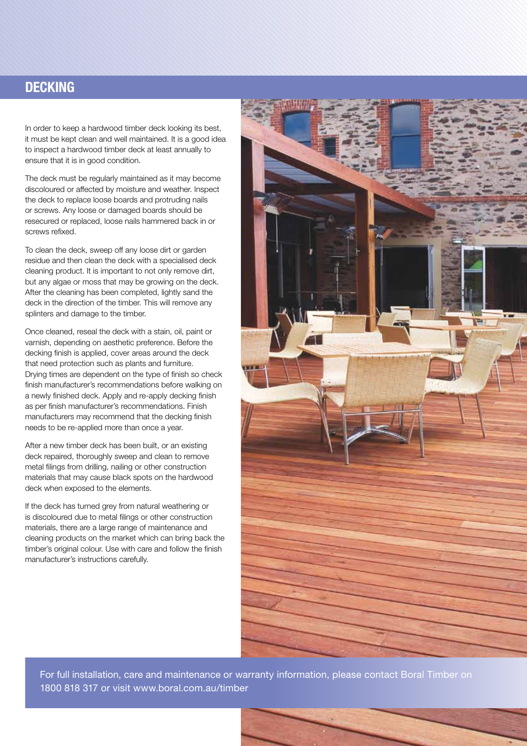#### **DECKING**

In order to keep a hardwood timber deck looking its best, it must be kept clean and well maintained. It is a good idea to inspect a hardwood timber deck at least annually to ensure that it is in good condition.

The deck must be regularly maintained as it may become discoloured or affected by moisture and weather. Inspect the deck to replace loose boards and protruding nails or screws. Any loose or damaged boards should be resecured or replaced, loose nails hammered back in or screws refixed.

To clean the deck, sweep off any loose dirt or garden residue and then clean the deck with a specialised deck cleaning product. It is important to not only remove dirt, but any algae or moss that may be growing on the deck. After the cleaning has been completed, lightly sand the deck in the direction of the timber. This will remove any splinters and damage to the timber.

Once cleaned, reseal the deck with a stain, oil, paint or varnish, depending on aesthetic preference. Before the decking finish is applied, cover areas around the deck that need protection such as plants and furniture. Drying times are dependent on the type of finish so check finish manufacturer's recommendations before walking on a newly finished deck. Apply and re-apply decking finish as per finish manufacturer's recommendations. Finish manufacturers may recommend that the decking finish needs to be re-applied more than once a year.

After a new timber deck has been built, or an existing deck repaired, thoroughly sweep and clean to remove metal filings from drilling, nailing or other construction materials that may cause black spots on the hardwood deck when exposed to the elements.

If the deck has turned grey from natural weathering or is discoloured due to metal filings or other construction materials, there are a large range of maintenance and cleaning products on the market which can bring back the timber's original colour. Use with care and follow the finish manufacturer's instructions carefully.



For full installation, care and maintenance or warranty information, please contact Boral Timber on 1800 818 317 or visit www.boral.com.au/timber